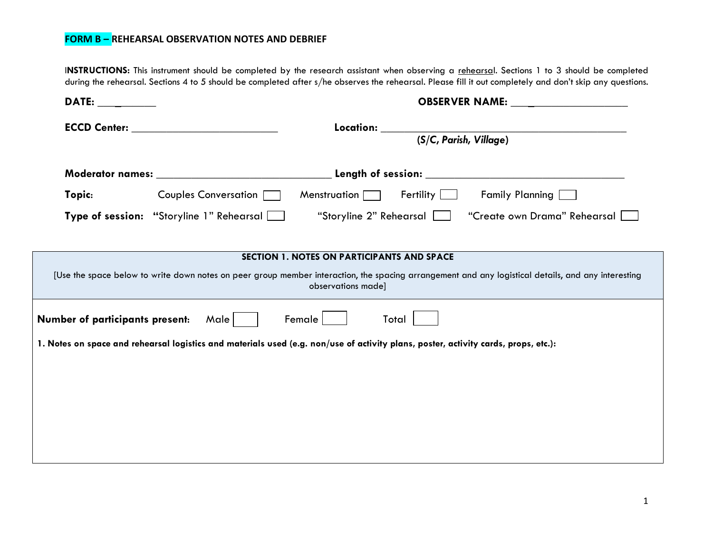I**NSTRUCTIONS:** This instrument should be completed by the research assistant when observing a rehearsal. Sections 1 to 3 should be completed during the rehearsal. Sections 4 to 5 should be completed after s/he observes the rehearsal. Please fill it out completely and don't skip any questions.

| DATE: the contract of the contract of the contract of the contract of the contract of the contract of the contract of the contract of the contract of the contract of the contract of the contract of the contract of the cont |                                                                                                                                                                                                                                |                                            |                                |  |
|--------------------------------------------------------------------------------------------------------------------------------------------------------------------------------------------------------------------------------|--------------------------------------------------------------------------------------------------------------------------------------------------------------------------------------------------------------------------------|--------------------------------------------|--------------------------------|--|
|                                                                                                                                                                                                                                | ECCD Center: Network and the state of the state of the state of the state of the state of the state of the state of the state of the state of the state of the state of the state of the state of the state of the state of th |                                            | (S/C, Parish, Village)         |  |
|                                                                                                                                                                                                                                |                                                                                                                                                                                                                                |                                            |                                |  |
| Topic:                                                                                                                                                                                                                         | Couples Conversation                                                                                                                                                                                                           | Menstruation $\Box$                        | Fertility [<br>Family Planning |  |
|                                                                                                                                                                                                                                | Type of session: "Storyline 1" Rehearsal                                                                                                                                                                                       | "Storyline 2" Rehearsal                    | "Create own Drama" Rehearsal   |  |
|                                                                                                                                                                                                                                |                                                                                                                                                                                                                                |                                            |                                |  |
|                                                                                                                                                                                                                                |                                                                                                                                                                                                                                | SECTION 1. NOTES ON PARTICIPANTS AND SPACE |                                |  |
| [Use the space below to write down notes on peer group member interaction, the spacing arrangement and any logistical details, and any interesting<br>observations made]                                                       |                                                                                                                                                                                                                                |                                            |                                |  |
| Male  <br>Female<br>Number of participants present:<br>Total                                                                                                                                                                   |                                                                                                                                                                                                                                |                                            |                                |  |
| 1. Notes on space and rehearsal logistics and materials used (e.g. non/use of activity plans, poster, activity cards, props, etc.):                                                                                            |                                                                                                                                                                                                                                |                                            |                                |  |
|                                                                                                                                                                                                                                |                                                                                                                                                                                                                                |                                            |                                |  |
|                                                                                                                                                                                                                                |                                                                                                                                                                                                                                |                                            |                                |  |
|                                                                                                                                                                                                                                |                                                                                                                                                                                                                                |                                            |                                |  |
|                                                                                                                                                                                                                                |                                                                                                                                                                                                                                |                                            |                                |  |
|                                                                                                                                                                                                                                |                                                                                                                                                                                                                                |                                            |                                |  |
|                                                                                                                                                                                                                                |                                                                                                                                                                                                                                |                                            |                                |  |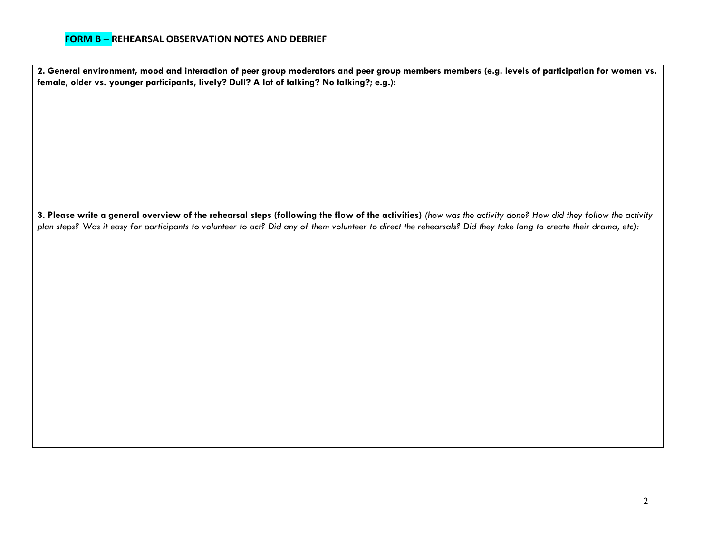**2. General environment, mood and interaction of peer group moderators and peer group members members (e.g. levels of participation for women vs. female, older vs. younger participants, lively? Dull? A lot of talking? No talking?; e.g.):**

**3. Please write a general overview of the rehearsal steps (following the flow of the activities)** *(how was the activity done? How did they follow the activity plan steps? Was it easy for participants to volunteer to act? Did any of them volunteer to direct the rehearsals? Did they take long to create their drama, etc):*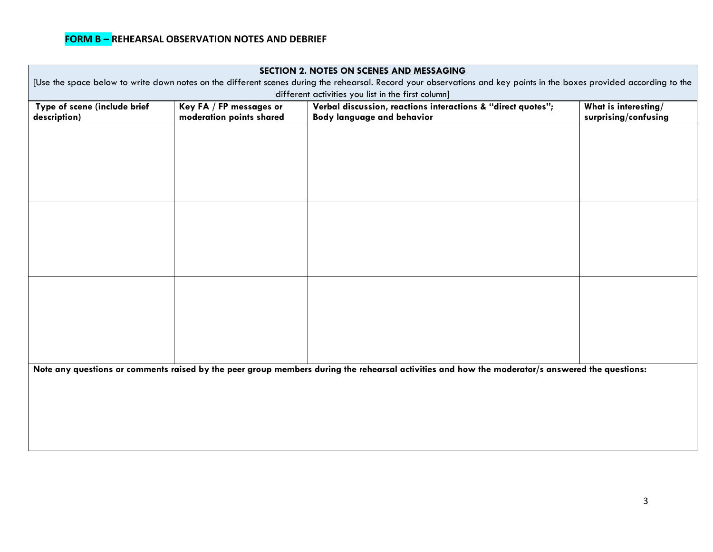| SECTION 2. NOTES ON SCENES AND MESSAGING                                                                                                                                                              |                          |                                   |                      |  |  |  |
|-------------------------------------------------------------------------------------------------------------------------------------------------------------------------------------------------------|--------------------------|-----------------------------------|----------------------|--|--|--|
| [Use the space below to write down notes on the different scenes during the rehearsal. Record your observations and key points in the boxes provided according to the                                 |                          |                                   |                      |  |  |  |
| different activities you list in the first column]<br>Type of scene (include brief<br>Verbal discussion, reactions interactions & "direct quotes";<br>What is interesting/<br>Key FA / FP messages or |                          |                                   |                      |  |  |  |
| description)                                                                                                                                                                                          | moderation points shared | <b>Body language and behavior</b> | surprising/confusing |  |  |  |
|                                                                                                                                                                                                       |                          |                                   |                      |  |  |  |
|                                                                                                                                                                                                       |                          |                                   |                      |  |  |  |
|                                                                                                                                                                                                       |                          |                                   |                      |  |  |  |
|                                                                                                                                                                                                       |                          |                                   |                      |  |  |  |
|                                                                                                                                                                                                       |                          |                                   |                      |  |  |  |
|                                                                                                                                                                                                       |                          |                                   |                      |  |  |  |
|                                                                                                                                                                                                       |                          |                                   |                      |  |  |  |
|                                                                                                                                                                                                       |                          |                                   |                      |  |  |  |
|                                                                                                                                                                                                       |                          |                                   |                      |  |  |  |
|                                                                                                                                                                                                       |                          |                                   |                      |  |  |  |
|                                                                                                                                                                                                       |                          |                                   |                      |  |  |  |
|                                                                                                                                                                                                       |                          |                                   |                      |  |  |  |
|                                                                                                                                                                                                       |                          |                                   |                      |  |  |  |
|                                                                                                                                                                                                       |                          |                                   |                      |  |  |  |
|                                                                                                                                                                                                       |                          |                                   |                      |  |  |  |
|                                                                                                                                                                                                       |                          |                                   |                      |  |  |  |
|                                                                                                                                                                                                       |                          |                                   |                      |  |  |  |
| Note any questions or comments raised by the peer group members during the rehearsal activities and how the moderator/s answered the questions:                                                       |                          |                                   |                      |  |  |  |
|                                                                                                                                                                                                       |                          |                                   |                      |  |  |  |
|                                                                                                                                                                                                       |                          |                                   |                      |  |  |  |
|                                                                                                                                                                                                       |                          |                                   |                      |  |  |  |
|                                                                                                                                                                                                       |                          |                                   |                      |  |  |  |
|                                                                                                                                                                                                       |                          |                                   |                      |  |  |  |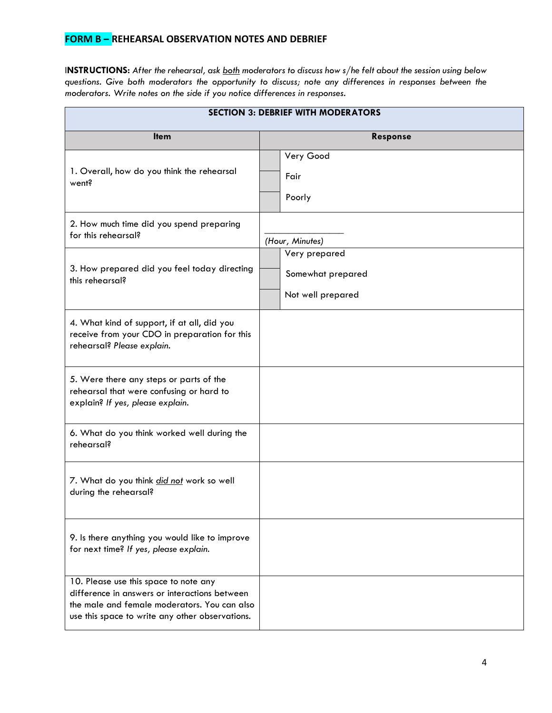I**NSTRUCTIONS:** *After the rehearsal, ask both moderators to discuss how s/he felt about the session using below questions. Give both moderators the opportunity to discuss; note any differences in responses between the moderators. Write notes on the side if you notice differences in responses.*

| <b>SECTION 3: DEBRIEF WITH MODERATORS</b>                                                                                                                                                 |                                                         |  |  |  |
|-------------------------------------------------------------------------------------------------------------------------------------------------------------------------------------------|---------------------------------------------------------|--|--|--|
| <b>Item</b>                                                                                                                                                                               | Response                                                |  |  |  |
| 1. Overall, how do you think the rehearsal<br>went?                                                                                                                                       | Very Good<br>Fair<br>Poorly                             |  |  |  |
| 2. How much time did you spend preparing<br>for this rehearsal?                                                                                                                           | (Hour, Minutes)                                         |  |  |  |
| 3. How prepared did you feel today directing<br>this rehearsal?                                                                                                                           | Very prepared<br>Somewhat prepared<br>Not well prepared |  |  |  |
| 4. What kind of support, if at all, did you<br>receive from your CDO in preparation for this<br>rehearsal? Please explain.                                                                |                                                         |  |  |  |
| 5. Were there any steps or parts of the<br>rehearsal that were confusing or hard to<br>explain? If yes, please explain.                                                                   |                                                         |  |  |  |
| 6. What do you think worked well during the<br>rehearsal?                                                                                                                                 |                                                         |  |  |  |
| 7. What do you think did not work so well<br>during the rehearsal?                                                                                                                        |                                                         |  |  |  |
| 9. Is there anything you would like to improve<br>for next time? If yes, please explain.                                                                                                  |                                                         |  |  |  |
| 10. Please use this space to note any<br>difference in answers or interactions between<br>the male and female moderators. You can also<br>use this space to write any other observations. |                                                         |  |  |  |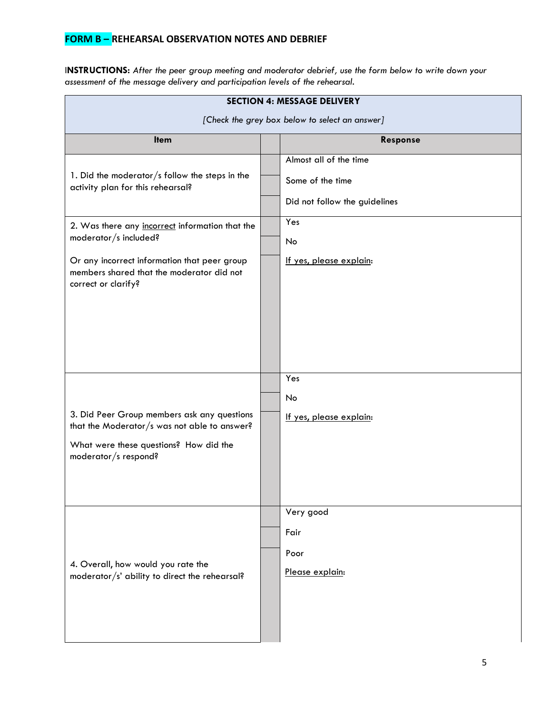I**NSTRUCTIONS:** *After the peer group meeting and moderator debrief, use the form below to write down your assessment of the message delivery and participation levels of the rehearsal.*

| <b>SECTION 4: MESSAGE DELIVERY</b>                                                                                                                                                           |  |                                                                             |  |  |
|----------------------------------------------------------------------------------------------------------------------------------------------------------------------------------------------|--|-----------------------------------------------------------------------------|--|--|
| [Check the grey box below to select an answer]                                                                                                                                               |  |                                                                             |  |  |
| <b>Item</b>                                                                                                                                                                                  |  | Response                                                                    |  |  |
| 1. Did the moderator/s follow the steps in the<br>activity plan for this rehearsal?                                                                                                          |  | Almost all of the time<br>Some of the time<br>Did not follow the guidelines |  |  |
| 2. Was there any incorrect information that the<br>moderator/s included?<br>Or any incorrect information that peer group<br>members shared that the moderator did not<br>correct or clarify? |  | Yes<br>No<br>If yes, please explain:<br>Yes<br>No                           |  |  |
| 3. Did Peer Group members ask any questions<br>that the Moderator/s was not able to answer?<br>What were these questions? How did the<br>moderator/s respond?                                |  | If yes, please explain:                                                     |  |  |
| 4. Overall, how would you rate the<br>moderator/s' ability to direct the rehearsal?                                                                                                          |  | Very good<br>Fair<br>Poor<br>Please explain:                                |  |  |